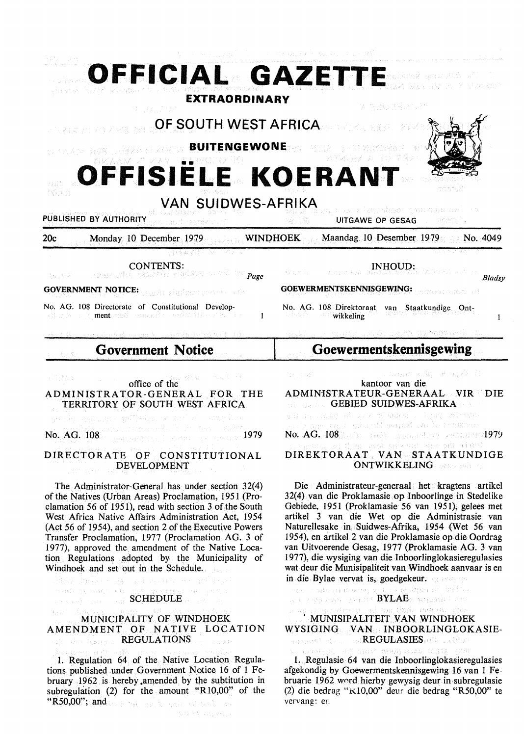|                                                                                                                                                                                                              | (1) 1991年1月14日, 1991年1月1日, 1991年1月1日, 1992年1月1日, 1992年1月1日, 1992年1月1日, 1992年1月1日, 1992年1月1日, 1992年1月                                                   |                                                                                                           |                                                                                       |
|--------------------------------------------------------------------------------------------------------------------------------------------------------------------------------------------------------------|--------------------------------------------------------------------------------------------------------------------------------------------------------|-----------------------------------------------------------------------------------------------------------|---------------------------------------------------------------------------------------|
|                                                                                                                                                                                                              | OFFICIAL GAZETTE                                                                                                                                       |                                                                                                           |                                                                                       |
| <b>EXTRAORDINARY</b><br>정 침몰등점원님 '뉴어<br>OF SOUTH WEST AFRICA<br>省局 医前缀 医前尾音<br>O ALAM ASSERSBANDOW BUITENGEWONED<br>ひどんへ越し合い イメソー 書書物 のごの ゴクトロー<br>OFFISIELE KOERANT<br>(4). D.<br><b>VAN SUIDWES-AFRIKA</b> |                                                                                                                                                        |                                                                                                           |                                                                                       |
|                                                                                                                                                                                                              |                                                                                                                                                        | PUBLISHED BY AUTHORITY                                                                                    | ur — Sálós landa sze landszot gandyb ori († 1<br>1982 – Pálós <b>UltGAWF OP GEOLO</b> |
|                                                                                                                                                                                                              |                                                                                                                                                        | Monday 10 December 1979 WINDHOEK Maandag 10 Desember 1979<br>20c                                          |                                                                                       |
|                                                                                                                                                                                                              |                                                                                                                                                        | 将转索的部分 机三维麻木<br><b>CONTENTS:</b><br>-t <sub>Au</sub> eric - Henne alte security rindrous and is $_{Page}$ | <b>INHOUD:</b><br>(学) ジミュー<br>Bladsy                                                  |
|                                                                                                                                                                                                              |                                                                                                                                                        | <b>GOVERNMENT NOTICE:</b> and distribution of the orient                                                  | GOEWERMENTSKENNISGEWING:                                                              |
| No. AG. 108 Directorate of Constitutional Develop-<br>(B.C.) I (ment, 760 senario endante este es<br>$\mathbf{1}$                                                                                            | No. AG. 108 Direktoraat van Staatkundige Ont-<br><b>Except Service Service Service Service Service Service Service Service Service</b><br>$\mathbf{I}$ |                                                                                                           |                                                                                       |
| a merech a traditional region in a ship of April construction of the Editor                                                                                                                                  | ernikin on melayan urang pawapa inggorakan mul                                                                                                         |                                                                                                           |                                                                                       |
| <b>Government Notice</b>                                                                                                                                                                                     | <b>Goewermentskennisgewing</b>                                                                                                                         |                                                                                                           |                                                                                       |
| office of the<br>手順読みず<br>ADMINISTRATOR-GENERAL FOR THE<br>TERRITORY OF SOUTH WEST AFRICA                                                                                                                    | a communication of maple for<br>kantoor van die<br>ADMINISTRATEUR-GENERAAL VIR<br><b>GEBIED SUIDWES-AFRIKA</b><br>出土時、はいうなり、金の越越の長い、これが全く              |                                                                                                           |                                                                                       |

No. AG. 108 1979 Substitute of the Second Property of the Second Property of the Second Property of the Second P<br>1979 Second Property of the Second Property of the Second Property of the Second Property of the Second Prope

# DIRECTORATE OF CONSTITUTIONAL DEVELOPMENT

The Administrator-General has under section 32(4) of the Natives (Urban Areas) Proclamation, 1951 (Proclamation 56 of 1951), read with section 3 of the South West Africa Native Affairs Administration Act, 1954 (Act 56 of 1954), and section 2 of the Executive Powers Transfer Proclamation, 1977 (Proclamation AG. 3 of 1977), approved the amendment of the Native Location Regulations adopted by the Municipality of Windhoek and set out in the Schedule.

**SCHEDULE** 

albay (bearing as publication of goldenia

**South and Tartist (194)** 

#### MUNICIPALITY OF WINDHOEK AMENDMENT OF NATIVE LOCATION **REGULATIONS** Reported

1. Regulation 64 of the Native Location Regulations published under Government Notice 16 of 1 February 1962 is hereby amended by the subtitution in subregulation (2) for the amount "R10,00" of the "R50,00"; and we have said scale subsets and

yn was it geisardi genaat soo he chamarar No.  $AG$ ,  $108$ ( $h$ )<sup>(108</sup>) 108) graphed 2000-04101979 DIREKTORAAT VAN STAATKUNDIGE ONTWIKKELING Die Administrateur-generaal het kragtens artikel

32(4) van die Proklamasie op Inboorlinge in Stedelike Gebiede, 1951 (Proklamasie 56 van 1951), gelees met artikel 3 van die Wet op die Administrasie van Naturellesake in Suidwes~Afrika, 1954 (Wet 56 van 1954), en artikel 2 van die Proklamasie op die Oordrag van Uitvoerende Gesag, 1977 (Proklamasie AG. 3 van 1977), die wysiging van die Inboorlinglokasieregulasies wat deur die Munisipaliteit van Windhoek aanvaar is en in die Bylae vervat is; goedgekeur.

raen rudorysi mortographicat ta sapar multimitu.<br>Article pipezonin ryski it **BYLAE**o nopaloit situ.

# a al ma dude pensur du ' MUNISIPALITEIT VAN WINDHOEK WYSIGING VAN INBOORLINGLOKASIE-REGULASIES COLLECTIVE

HE NEOV REPRESENTATIONS (SP agawan ayo

1. Regulasie 64 van die Inboorlinglokasieregulasies afgekondig by Goewermentskennisgewing 16 van 1 Februarie 1962 wnrd hierby gewysig deur in subregulasie (2) die bedrag "KI0,00" deur die bedrag "R50,00" te vervang: en

.<br>Sék ti Atyensk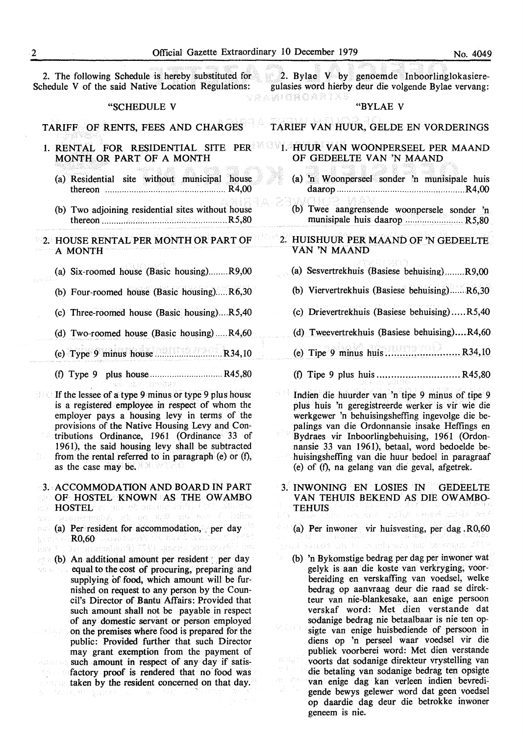Schedule V of the said Native Location Regulations:

#### "SCHEDULE V

TARIFF OF RENTS, FEES AND CHARGES

- 1. RENTAL FOR RESIDENTIAL SITE PER**ELLE HUUR VAN WOONPERSEEL PER MAAND** MONTH OR PART OF A MONTH
	- (a) Residential site without municipal house thereon .................................................. R4,00
	- (b) Two adjoining residential sites without house thereon .................................................... R5,80

**2. HOUSE RENTAL PER MONTH OR PART OF A MONTH** 

- (a) Six-roomed house (Basic housing) ........ R9,00
- (b) Four-roomed house (Basic housing). .... R6,30
- (c) Three-roomed house (Basic housing} .... R5,40
- (d) Two-roomed house (Basic housing) ..... R4,60
- (e) Type 9 minus house ........................ ., .. R34,10
- (0 Type 9 plus house .............................. R45,80

If the lessee of a type 9 minus or type 9 plus house is a registered employee in respect of whom the employer pays a housing levy in terms of the provisions of the Native Housing Levy and Contributions Ordinance, 1961 (Ordinance 33 of 1961), the said housing levy shall be subtracted from the rental referred to in paragraph (e) or  $(f)$ , as the case may be.

3. ACCOMMODATION AND BOARD IN PART

OF HOSTEL KNOWN AS THE OW AMBO

- **HOSTEL**ARE and of amount north to the side of the state of the state of the state of the state of the state of the state of the state of the state of the state of the state of the state of the state of the state of the st
- (a) Per resident for accommodation, per day nati มูเวรษณ์ r**R0,60**: Javansmuris eth new 2 ladinten to de<br>DA siasmniskovä) STRT uggesto annavorutiti
- 计段字 (b) An additional amount per resident : per day equal to the cost of procuring, preparing and NS as has supplying of food, which amount will be furnished on request to any person by the Council's Director of Bantu Affairs: Provided that such amount shall not be payable in respect of any domestic servant or person employed on the premises where food is prepared for the 처음을 public: Provided further that such Director may grant exemption from the payment of such amount in respect of any day if satisfactory proof is rendered that no food was taken by the resident concerned on that day. 3.285.59

2. The following Schedule is hereby substituted for 2. Bylae V by genoemde Inboorlinglokasieregulasies word hierby deur die volgende Bylae vervang: veahoroartx

#### "BYLAE V

T ARIEF VAN HUUR, GELDE EN VORDERINGS

# OF GEDEELTE VAN 'N MAAND

- (a) 'n Woonperseel sonder 'n munisipale huis daarop ..................................................... R4,00
- (b) Twee aangrensende woonpersele sonder 'n munisipale huis daarop ........................ R5,80

### 2. HUISHUUR PER MAAND OF 'N GEDEELTE **VAN 'N MAAND**

- (a) Sesvertrekhuis (Basiese behuising) ........ R9,00
- (b) Viervertrekhuis (Basiese behuising) ...... R6,30
- (c) Drievertrekhuis (Basiese behuising) ..... R5,40
- (d) Tweevertrekhuis (Basiese behuising) .... R4,60
- (e) Tipe 9 minus huis .......................... R34,10
- (0 Tipe 9 plus huis ............................. R45,80
- Indien die huurder van 'n tipe 9 minus of tipe 9 plus huis 'n geregistreerde werker is vir wie die werkgewer 'n behuisingsheffing ingevolge die bepalings van die Ordonnansie insake Heffings en Bydraes vir Inboorlingbehuising, 1961 (Ordonnansie 33 van 1961), betaal, word bedoelde behuisingsheffing van die huur bedoel in paragraaf (e) of (f), na gelang van die geval, afgetrek.
- 3. INWONING EN LOSIES IN GEDEELTE VAN TEHUIS BEKEND AS DIE OW AMBO-TEHUIS putes expeditional and
	- (a) Per inwoner vir huisvesting, per dag .R0,60

intellimas on boyeniqu

- 
- (b) 'n Bykomstige bedrag per dag per inwoner wat gelyk is aan die koste van verkryging, voorbereiding en verskaffing van voedsel, welke bedrag op aanvraag deur die raad se direkteur van nie-blankesake, aan enige persoon verskaf word: Met dien verstande dat sodanige bedrag nie betaalbaar is nie ten opsigte van enige huisbediende of persoon in diens op 'n perseel waar voedsel vir die publiek voorberei word: Met dien verstande voorts dat sodanige direkteur vrystelling van die betaling van sodanige bedrag ten opsigte van enige dag kan verleen indien bevredigende bewys gelewer word dat geen voedsel op daardie dag deur die betrokke inwoner geneem is nie.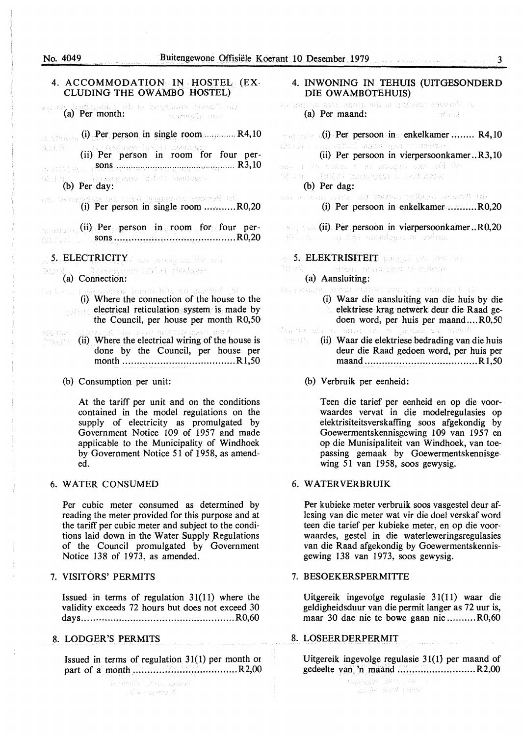Very Prepty

#### No. 4049 Buitengewone Offisiële Koerant 10 Desember 1979 3

#### 4. ACCOMMODATION IN HOSTEL (EX-CLUDING THE OW AMBO HOSTEL)

e berdamum: at a spiganders seem<sup>st</sup> op.<br>(a) Per month: - ravremia case

 $(i)$  Per person in single room .............. R4,10 al onwh Q2.3.8. n d'At-America (ii) Per person in room for four per-

sons ................................................. R3,10 (b) Per day: 02.3.

the Personal anomaly and alm (i) Per person in single room ........... R0,20

**(ii) Per person in room for four per**sons ......................... n • •·· · · • · • · • · · • • R0,20 (g) (13)

5. ELECTRICITY and several are  $\mathbb{N}\setminus\{i\}$ 

**(a)** Connection:

Asama historia n (i) Where the connection of the house to the **RASK** electrical reticulation system is made by the Council, per house per month R0,50

#### SH. Mag

(ii) Where the electrical wiring of the house is mages done by the Council, per house per month ....................................... R 1,50

# (b) Consumption per unit:

At the tariff per unit and on the conditions contained in the model regulations on the supply of electricity as promulgated by Government Notice 109 of 1957 and made applicable to the Municipality of Windhoek by Government Notice 51 of 1958, as amended.

#### 6. WATER CONSUMED

Per cubic meter consumed as determined by reading the meter provided for this purpose and at the tariff per cubic meter and subject to the conditions laid down in the Water Supply Regulations of the Council promulgated by Government Notice 138 of 1973, as amended.

#### 7. VISITORS' PERMITS

Issued in terms of regulation 31(11) where the validity exceeds 72 hours but does not exceed 30 days ..................................................... R0,60

#### 8. LODGER'S PERMITS

Issued in terms of regulation 31(1) per month or part of a month .................................... R2,00

> นี้ออสไทยได้ ( ) ใช้ ( อาจเมษาส์  $\mathbb{P}(\mathcal{C}(\mathbb{C}^2))$  , aperband

4. INWONING IN TEHUIS (UITGESONDERD DIE OWAMBOTEHUIS)

Program and define will be unique somewhat the (a) Per maand: **Hard** 

 $\sim$   $($ i) Per persoon in enkelkamer ........ R4, 10 ghal scinings o quino (第3条)

(ii) Per persoon in vierpersoonkamer .. R3, 10

wh is the service of an amazed out of the 42 IX . . (400a) modsheem a bodusood

#### (b) Per dag:

vir dazmo valbos senzo% (d) aña al abaz

(i) Per persoon in enkelkamer .......... R0,20

**(ii) Per persoon in vierpersoonkamer .. R0,20** 

**5. ELEKTRISITEIT** BURGHER AND THE

.tika. mgalam si bulme No o G

#### (a) Aansluiting:

- bol Sijasa kadar iki svet s roganija t
	- (i) Waar die aansluiting van die huis by die elektriese krag netwerk deur die Raad gedoen word, per huis per maand .... R0,50

eb. en.

- (ii) Waar die elektriese bedrading van die huis deur die Raad gedoen word, per huis per maand ....................................... Rl,50
	- (b) Verbruik per eenheid:

Teen die tarief per eenheid en op die voorwaardes vervat in die modelregulasies op elektrisiteitsverskaffing soos afgekondig by Goewermentskennisgewing 109 van 1957 en op die Munisipaliteit van Windhoek, van toepassing gemaak by Goewermentskennisgewing 51 van 1958, soos gewysig.

#### 6. **WATERVERBRUIK**

Per kubieke meter verbruik soos vasgestel deur aflesing van die meter wat vir die doel verskaf word teen die tarief per kubieke meter, en op die voorwaardes, gestel in die waterleweringsregulasies van die Raad afgekondig by Goewermentskennisgewing 138 van 1973, soos gewysig.

#### 7. BESOEKERSPERMITTE

Uitgereik ingevolge regulasie 31(11) waar die geldigheidsduur van die permit !anger as 72 uur is, maar 30 dae nie te bowe gaan nie .......... R0,60

### **8. LOSEERDERPERMIT**

Uitgereik ingevolge regulasie 31(1} per maand of gedeelte van 'n maand ........................... R2,00